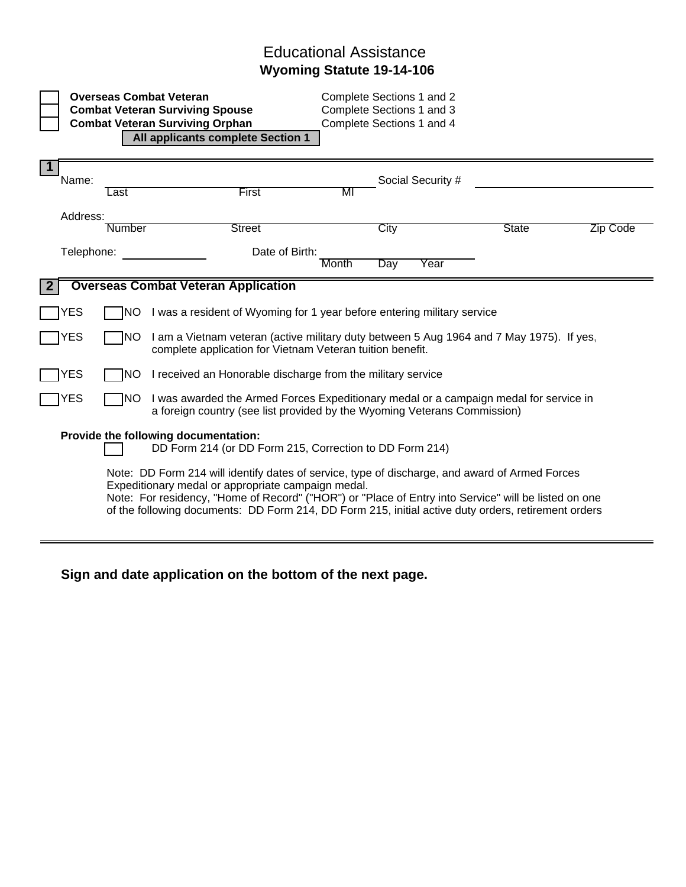## Educational Assistance **Wyoming Statute 19-14-106**

|                                                                                                 |        | <b>Overseas Combat Veteran</b><br><b>Combat Veteran Surviving Spouse</b><br><b>Combat Veteran Surviving Orphan</b><br>All applicants complete Section 1                                                                                                                                                                                                             |       | Complete Sections 1 and 2<br>Complete Sections 1 and 3<br>Complete Sections 1 and 4 |                   |              |          |  |
|-------------------------------------------------------------------------------------------------|--------|---------------------------------------------------------------------------------------------------------------------------------------------------------------------------------------------------------------------------------------------------------------------------------------------------------------------------------------------------------------------|-------|-------------------------------------------------------------------------------------|-------------------|--------------|----------|--|
| $\mathbf 1$<br>Name:                                                                            | Last   | First                                                                                                                                                                                                                                                                                                                                                               | MI    |                                                                                     | Social Security # |              |          |  |
| Address:                                                                                        | Number | <b>Street</b>                                                                                                                                                                                                                                                                                                                                                       |       | City                                                                                |                   | <b>State</b> | Zip Code |  |
| Telephone:                                                                                      |        | Date of Birth:                                                                                                                                                                                                                                                                                                                                                      | Month | Day                                                                                 | Year              |              |          |  |
| <b>Overseas Combat Veteran Application</b>                                                      |        |                                                                                                                                                                                                                                                                                                                                                                     |       |                                                                                     |                   |              |          |  |
| YES                                                                                             | NO.    | I was a resident of Wyoming for 1 year before entering military service                                                                                                                                                                                                                                                                                             |       |                                                                                     |                   |              |          |  |
| YES                                                                                             | INO.   | I am a Vietnam veteran (active military duty between 5 Aug 1964 and 7 May 1975). If yes<br>complete application for Vietnam Veteran tuition benefit.                                                                                                                                                                                                                |       |                                                                                     |                   |              |          |  |
| YES                                                                                             | NO.    | I received an Honorable discharge from the military service                                                                                                                                                                                                                                                                                                         |       |                                                                                     |                   |              |          |  |
| YES                                                                                             | NO     | I was awarded the Armed Forces Expeditionary medal or a campaign medal for service in<br>a foreign country (see list provided by the Wyoming Veterans Commission)                                                                                                                                                                                                   |       |                                                                                     |                   |              |          |  |
| Provide the following documentation:<br>DD Form 214 (or DD Form 215, Correction to DD Form 214) |        |                                                                                                                                                                                                                                                                                                                                                                     |       |                                                                                     |                   |              |          |  |
|                                                                                                 |        | Note: DD Form 214 will identify dates of service, type of discharge, and award of Armed Forces<br>Expeditionary medal or appropriate campaign medal.<br>Note: For residency, "Home of Record" ("HOR") or "Place of Entry into Service" will be listed on one<br>of the following documents: DD Form 214, DD Form 215, initial active duty orders, retirement orders |       |                                                                                     |                   |              |          |  |

## **Sign and date application on the bottom of the next page.**